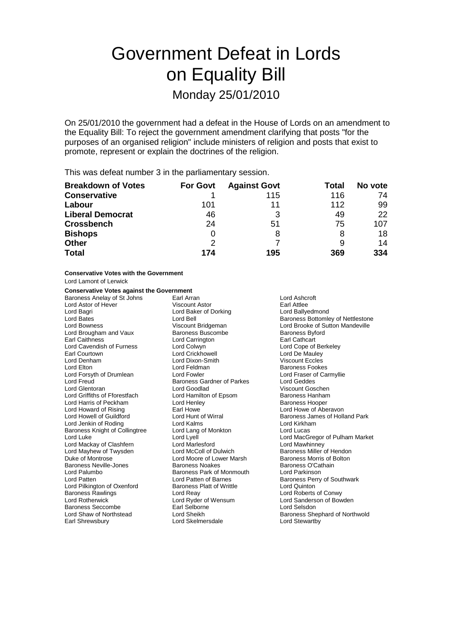# Government Defeat in Lords on Equality Bill Monday 25/01/2010

On 25/01/2010 the government had a defeat in the House of Lords on an amendment to the Equality Bill: To reject the government amendment clarifying that posts "for the purposes of an organised religion" include ministers of religion and posts that exist to promote, represent or explain the doctrines of the religion.

This was defeat number 3 in the parliamentary session.

| <b>Breakdown of Votes</b> | <b>For Govt</b> | <b>Against Govt</b> | Total | No vote |
|---------------------------|-----------------|---------------------|-------|---------|
| <b>Conservative</b>       |                 | 115                 | 116   | 74      |
| Labour                    | 101             | 11                  | 112   | 99      |
| <b>Liberal Democrat</b>   | 46              | 3                   | 49    | 22      |
| <b>Crossbench</b>         | 24              | 51                  | 75    | 107     |
| <b>Bishops</b>            | 0               | 8                   | 8     | 18      |
| <b>Other</b>              | 2               |                     |       | 14      |
| <b>Total</b>              | 174             | 195                 | 369   | 334     |

**Conservative Votes with the Government**

Lord Lamont of Lerwick

#### **Conservative Votes against the Government**

Baroness Anelay of St Johns Earl Arran and Earl Arran and Lord Ashcroft<br>
Lord Astor of Hever **Earl Atten Struck** Viscount Astor **Earl Atte** Lord Astor of Hever **Viscount Astor** Cord Baker of Dorking **Earl Attlee**<br>
Lord Bagri **Cord Baker of Dorking** Earl Attlee Lord Brougham and Vaux Earl Caithness<br>
Lord Carrington<br>
Lord Colwyn
Lord Colwyn
Lord Colwyn
Lord Colwein
Lord Colwein
Lord Cope of Berkeley Lord Cavendish of Furness Lord Colwyn<br>
Earl Courtown 
Lord Crickhowell Earl Courtown Lord Crickhowell Lord De Mauley<br>
Lord Denham Lord Dixon-Smith Lord Dixon-Smith Viscount Eccles Lord Elton **Lord Feldman** Baroness Fookes Lord Forsyth of Drumlean Lord Fowler Lord Faser of Carmyllie<br>
Lord Freud Carmyllie<br>
Lord Geddes
Lord Geddes
Lord Ceddes
Lord Ceddes

Lord Ceddes

Lord Ceddes

Lord Ceddes

Lord Freud

Lord Freud Lord Freud Baroness Gardner of Parkes<br>
Lord Glentoran Lord Goodlad Lord Griffiths of Fforestfach Lord Hamilton of Epsom Baroness Hanham Lord Harris of Peckham **Lord Henley Communist Communist Communist** Lord Henley Baroness Hooper<br>
Lord Howard of Rising **Baroness Hooper** Earl Howe **Marooper Communist Communist Communist Communist Communist Communist Commun** Lord Jenkin of Roding **Lord Lord Kalms**<br>
Baroness Knight of Collingtree **Lord Lord Lang of Monkton Lord Lucas** Lord Lucas Baroness Knight of Collingtree Lord Mackay of Clashfern **Lord Marlesford** Lord Marchand Lord Mawhinney<br>
Lord Mayhew of Twysden **Lord McColl of Dulwich** Baroness Miller of Hendon Lord Mayhew of Twysden Lord McColl of Dulwich Baroness Miller of Hendon<br>
Duke of Montrose **Baroness Acceller Cord Moore of Lower Marsh** Baroness Morris of Bolton Baroness Neville-Jones Baroness Noakes Baroness O'Cathain Lord Palumbo Baroness Park of Monmouth Lord Parkinson Lord Pilkington of Oxenford Baroness Rawlings Lord Reay Lord Roberts of Conwy Lord Rotherwick Lord Ryder of Wensum Lord Sanderson of Bowden Baroness Seccombe Earl Selborne<br>
Lord Shaw of Northstead<br>
Lord Sheikh

Lord Baker of Dorking Lord Goodlad Viscount Goschen Lord Moore of Lower Marsh Earl Shrewsbury Lord Skelmersdale Lord Stewartby

Lord Bates Lord Bell **Lord Bates Lord Bates Lord Bates** Bottomley of Nettlestone<br>
Lord Bowness **Bates Bates Access** Viscount Bridgeman<br>
Lord Brooke of Sutton Mandeville Lord Bowness **Viscount Bridgeman** Cord Brooke of Sutton Mandeville<br>
Lord Brougham and Vaux Baroness Buscombe Baroness Byford Viscount Eccles Lord Howe of Aberavon Lord Howell of Guildford **Lord Hunt of Wirral Corporation** Baroness James of Holland Park Lord Luke Lord Lyell Lord MacGregor of Pulham Market Lord Patten of Barnes<br>
Baroness Platt of Writtle<br>
Lord Quinton<br>
Lord Cuinton Baroness Shephard of Northwold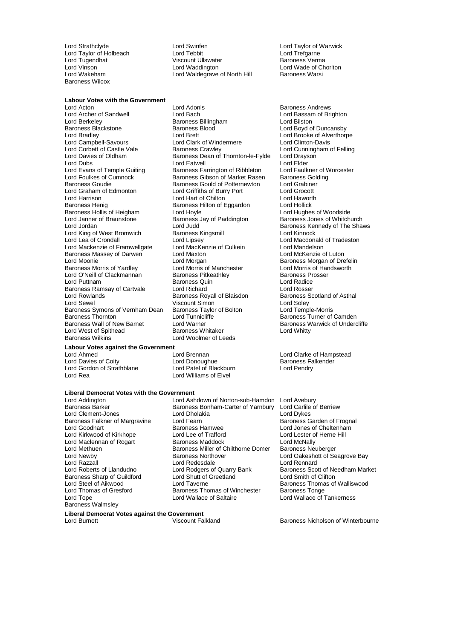Lord Strathclyde Lord Swinfen Lord Taylor of Warwick Lord Taylor of Holbeach Lord Tebbit Lord Trefgarne Lord Vinson Lord Waddington Lord Walder Lord Wade of Chorlton Lord Wade of Chorlton Lord Walder Lord Walder Lord Walder Lord Walder Lord Walder Lord Walder Lord Walder Lord Walder Lord Walder Lord Walder Lord Walder Lord W Baroness Wilcox

**Labour Votes with the Government**<br>Lord Acton Lord Acton Lord Adonis Baroness Andrews Lord Berkeley Baroness Billingham<br>Baroness Blackstone Baroness Billingham<br>Baroness Blackstone Baroness Blood Lord Evans of Temple Guiting Baroness Farrington of Ribbleton<br>Lord Foulkes of Cumnock Baroness Gibson of Market Raser Baroness Hollis of Heigham Lord Hoyle<br>
Lord Janner of Braunstone Baroness Jay of Paddington Lord King of West Bromwich<br>Lord Lea of Crondall Baroness Massey of Darwen Lord Maxton Lord Moonie Cord Muslim Lord Morgan Baroness Symons of Vernham Dean Lord West of Spithead<br>Baroness Wilkins

# **Labour Votes against the Government**

Lord Davies of Coity Lord Donoughue Baroness Falkender Lord Gordon of Strathblane<br>Lord Rea

#### **Liberal Democrat Votes with the Government**

**Liberal Democrat Votes against the Government**

Baroness Falkner of Margravine Lord Fearn<br>
Lord Goodhart Cord Baroness Hamwee Lord Razzall<br>
Lord Roberts of Llandudno<br>
Lord Rodgers of Quarry Bank Baroness Sharp of Guildford<br>Lord Steel of Aikwood Baroness Walmsley

Lord Archer of Sandwell **Lord Bach Lord Bach** Lord Bassam of Brighton<br>
Lord Berkeley **Consumers** Baroness Billingham **Lord Bilton** Baroness Blackstone Baroness Blood Lord Boyd of Duncansby<br>
Lord Bradley Lord Boyd of Duncansby<br>
Lord Brett Lord Brooke of Alverthorp Lord Brett Lord Brooke of Alverthorpe<br>
Lord Clark of Windermere Lord Clinton-Davis Lord Campbell-Savours Lord Clark of Windermere Lord Clinton-Davis Lord Corbett of Castle Vale Baroness Crawley Lord Cunningham of Felling<br>Lord Davies of Oldham Baroness Dean of Thornton-le-Fylde Lord Drayson Lord Davies of Oldham Baroness Dean of Thornton-le-Fylde Lord Drays<br>Lord Davies of Oldham Baroness Dean of Thornton-le-Fylde Lord Drays Lord Dubs<br>
Lord Evans of Temple Guiting 
Lord Examess Farrington of Ribbleton
Lord Evans of Temple Guiting
Lord Evans of Temple Guiting

Lord Evans of Temple Guiting

Lord Evans of Temple Guiting

Lord Evans of Temple Gui Lord Foulkes of Cumnock The Baroness Gibson of Market Rasen Baroness Golding<br>Baroness Goudie The Baroness Gould of Potternewton Lord Grabiner Baroness Gould of Potternewton Lord Graham of Edmonton Lord Griffiths of Burry Port Lord Grocott Lord Harrison Lord Hart of Chilton Lord Haworth Baroness Hilton of Eggardon Lord Hollick<br>
Lord Hoyle Lord Hughes of Woodside Lord Jordan Lord Judd Communic Communist Cord Judd Baroness Kennedy of The Shaws<br>Lord King of West Bromwich Baroness Kingsmill Lord Kinnock Lord Lipsey<br>
Lord MacKenzie of Culkein<br>
Lord Mandelson<br>
Lord Mandelson Lord Mackenzie of Framwellgate Lord MacKenzie of Culkein Lord Mandelson<br>Baroness Massey of Darwen Lord Maxton Lord Matton Lord McKenzie of Luton Lord Morgan<br>
Lord Morris of Manchester<br>
Lord Morris of Handsworth Baroness Morris of Yardley **Lord Morris of Manchester** Lord Morris of Handsworth<br>Lord O'Neill of Clackmannan Baroness Pitkeathley **Baroness Prosser** Lord O'Neill of Clackmannan Baroness Pitkeathley Baroness Prosserved Baroness Prosserved Baroness Prosserved B<br>Baroness Quin Baroness Outliney Baroness Prosserved Baroness Prosserved Baroness Prosserved Baroness Prosserve Examples Quin Entertainment Cord Radice<br> **Lord Richard** Lord Rosser Baroness Ramsay of Cartvale **Lord Richard** Lord Blaisdon **Lord Rosser**<br>
Lord Rowlands **Lord Ross Rovall of Blaisdon** Baroness Scotland of Asthal Lord Rowlands **Baroness Royall of Blaisdon** Baroness Scotland Baroness Scotland Baroness Scotland School Baroness Scotland School Baroness Scotland School Baroness Scotland School Baroness Scotland School Baroness School B Viscount Simon<br>
Baroness Taylor of Bolton<br>
Lord Temple-Morris Baroness Thornton **Baroness Thornton** Lord Tunnicliffe **Baroness Turner of Camden**<br>Baroness Wall of New Barnet Lord Warner **Communist Communist Communist Communist Communist Communist Communist C** Lord Warner<br>Baroness Whitaker **Baroness Warmer Baroness Whitaker** Lord Whitty **Baroness Wilkinster**<br>Lord Woolmer of Leeds

Viscount Ullswater

Lord Waldegrave of North Hill

Lord Brennan **Lord Clarke of Hampstead** Lord Williams of Elvel

Lord Addington **Lord Ashdown of Norton-sub-Hamdon** Lord Avebury<br>Baroness Barker **Communist Baroness Bonham-Carter of Yarnbury** Lord Carlile of Berriew Baroness Bonham-Carter of Yarnbury Lord Carlile<br>Lord Dholakia Lord Dykes Lord Clement-Jones Lord Dholakia Lord Dykes<br>
Baroness Falkner of Margravine Lord Fearn Lord Text Corpus Lord Dykes Baroness Garden of Frognal Baroness Hamwee Lord Jones of Cheltenham<br>
Lord Lee of Trafford<br>
Lord Lester of Herne Hill Lord Kirkwood of Kirkhope Lord Lee of Trafford Cord Lester of Lord Lester of Lord Lester of Lord McNally Lord Maclennan of Rogart **Baroness Maddock** Lord McNally<br>Lord Methuen **Baroness Miller of Chilthorne Domer** Baroness Neuberger Lord Methuen **Baroness Miller of Chilthorne Domer**<br>
Baroness Northover<br>
Baroness Northover Lord Newby Baroness Northover Lord Oakeshott of Seagrove Bay Lord Rodgers of Quarry Bank Baroness Scott of Needham Market<br>
Lord Shutt of Greetland Lord Smith of Clifton Lord Steel of Aikwood **Lord Taverne** Lord Taverne Baroness Thomas of Walliswood<br>
Lord Thomas of Gresford Baroness Thomas of Winchester Baroness Tonge Baroness Thomas of Winchester Lord Tope Lord Wallace of Saltaire Lord Wallace of Tankerness

Baroness Jones of Whitchurch

Lord Burnett Viscount Falkland Baroness Nicholson of Winterbourne